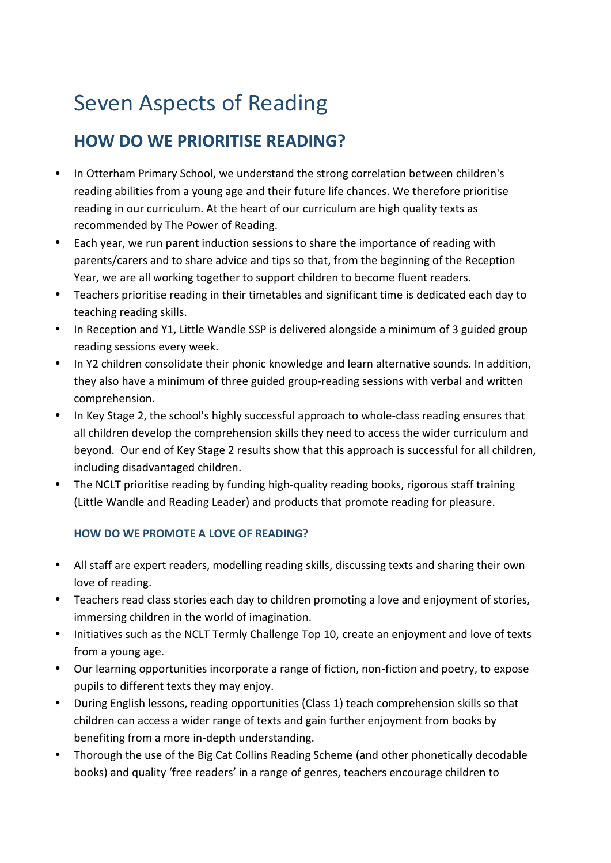# Seven Aspects of Reading

# **HOW DO WE PRIORITISE READING?**

- In Otterham Primary School, we understand the strong correlation between children's reading abilities from a young age and their future life chances. We therefore prioritise reading in our curriculum. At the heart of our curriculum are high quality texts as recommended by The Power of Reading.
- Each year, we run parent induction sessions to share the importance of reading with parents/carers and to share advice and tips so that, from the beginning of the Reception Year, we are all working together to support children to become fluent readers.
- Teachers prioritise reading in their timetables and significant time is dedicated each day to teaching reading skills.
- In Reception and Y1, Little Wandle SSP is delivered alongside a minimum of 3 guided group reading sessions every week.
- In Y2 children consolidate their phonic knowledge and learn alternative sounds. In addition, they also have a minimum of three guided group-reading sessions with verbal and written comprehension.
- In Key Stage 2, the school's highly successful approach to whole-class reading ensures that all children develop the comprehension skills they need to access the wider curriculum and beyond. Our end of Key Stage 2 results show that this approach is successful for all children, including disadvantaged children.
- The NCLT prioritise reading by funding high-quality reading books, rigorous staff training (Little Wandle and Reading Leader) and products that promote reading for pleasure.

# **HOW DO WE PROMOTE A LOVE OF READING?**

- All staff are expert readers, modelling reading skills, discussing texts and sharing their own love of reading.
- Teachers read class stories each day to children promoting a love and enjoyment of stories, immersing children in the world of imagination.
- Initiatives such as the NCLT Termly Challenge Top 10, create an enjoyment and love of texts from a young age.
- Our learning opportunities incorporate a range of fiction, non-fiction and poetry, to expose pupils to different texts they may enjoy.
- During English lessons, reading opportunities (Class 1) teach comprehension skills so that children can access a wider range of texts and gain further enjoyment from books by benefiting from a more in-depth understanding.
- Thorough the use of the Big Cat Collins Reading Scheme (and other phonetically decodable books) and quality 'free readers' in a range of genres, teachers encourage children to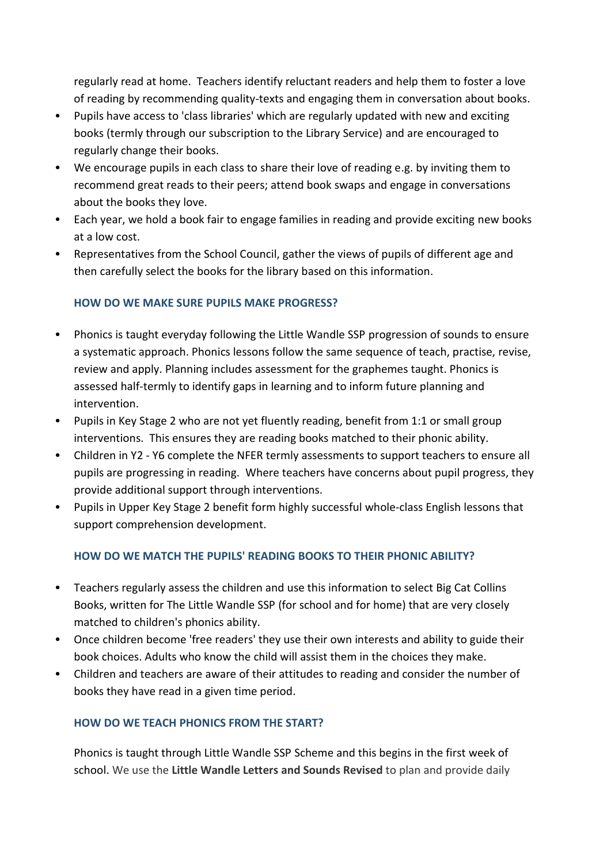regularly read at home. Teachers identify reluctant readers and help them to foster a love of reading by recommending quality-texts and engaging them in conversation about books.

- Pupils have access to 'class libraries' which are regularly updated with new and exciting books (termly through our subscription to the Library Service) and are encouraged to regularly change their books.
- We encourage pupils in each class to share their love of reading e.g. by inviting them to recommend great reads to their peers; attend book swaps and engage in conversations about the books they love.
- Each year, we hold a book fair to engage families in reading and provide exciting new books at a low cost.
- Representatives from the School Council, gather the views of pupils of different age and then carefully select the books for the library based on this information.

## **HOW DO WE MAKE SURE PUPILS MAKE PROGRESS?**

- Phonics is taught everyday following the Little Wandle SSP progression of sounds to ensure a systematic approach. Phonics lessons follow the same sequence of teach, practise, revise, review and apply. Planning includes assessment for the graphemes taught. Phonics is assessed half-termly to identify gaps in learning and to inform future planning and intervention.
- Pupils in Key Stage 2 who are not yet fluently reading, benefit from 1:1 or small group interventions. This ensures they are reading books matched to their phonic ability.
- Children in Y2 Y6 complete the NFER termly assessments to support teachers to ensure all pupils are progressing in reading. Where teachers have concerns about pupil progress, they provide additional support through interventions.
- Pupils in Upper Key Stage 2 benefit form highly successful whole-class English lessons that support comprehension development.

# **HOW DO WE MATCH THE PUPILS' READING BOOKS TO THEIR PHONIC ABILITY?**

- Teachers regularly assess the children and use this information to select Big Cat Collins Books, written for The Little Wandle SSP (for school and for home) that are very closely matched to children's phonics ability.
- Once children become 'free readers' they use their own interests and ability to guide their book choices. Adults who know the child will assist them in the choices they make.
- Children and teachers are aware of their attitudes to reading and consider the number of books they have read in a given time period.

# **HOW DO WE TEACH PHONICS FROM THE START?**

Phonics is taught through Little Wandle SSP Scheme and this begins in the first week of school. We use the **Little Wandle Letters and Sounds Revised** to plan and provide daily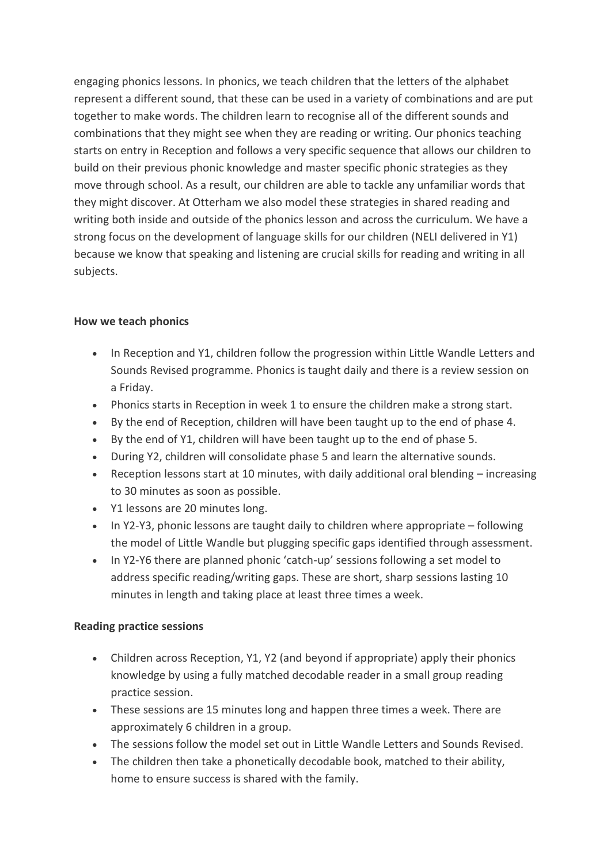engaging phonics lessons. In phonics, we teach children that the letters of the alphabet represent a different sound, that these can be used in a variety of combinations and are put together to make words. The children learn to recognise all of the different sounds and combinations that they might see when they are reading or writing. Our phonics teaching starts on entry in Reception and follows a very specific sequence that allows our children to build on their previous phonic knowledge and master specific phonic strategies as they move through school. As a result, our children are able to tackle any unfamiliar words that they might discover. At Otterham we also model these strategies in shared reading and writing both inside and outside of the phonics lesson and across the curriculum. We have a strong focus on the development of language skills for our children (NELI delivered in Y1) because we know that speaking and listening are crucial skills for reading and writing in all subjects.

#### **How we teach phonics**

- In Reception and Y1, children follow the progression within Little Wandle Letters and Sounds Revised programme. Phonics is taught daily and there is a review session on a Friday.
- Phonics starts in Reception in week 1 to ensure the children make a strong start.
- By the end of Reception, children will have been taught up to the end of phase 4.
- By the end of Y1, children will have been taught up to the end of phase 5.
- During Y2, children will consolidate phase 5 and learn the alternative sounds.
- Reception lessons start at 10 minutes, with daily additional oral blending increasing to 30 minutes as soon as possible.
- Y1 lessons are 20 minutes long.
- In Y2-Y3, phonic lessons are taught daily to children where appropriate following the model of Little Wandle but plugging specific gaps identified through assessment.
- In Y2-Y6 there are planned phonic 'catch-up' sessions following a set model to address specific reading/writing gaps. These are short, sharp sessions lasting 10 minutes in length and taking place at least three times a week.

#### **Reading practice sessions**

- Children across Reception, Y1, Y2 (and beyond if appropriate) apply their phonics knowledge by using a fully matched decodable reader in a small group reading practice session.
- These sessions are 15 minutes long and happen three times a week. There are approximately 6 children in a group.
- The sessions follow the model set out in Little Wandle Letters and Sounds Revised.
- The children then take a phonetically decodable book, matched to their ability, home to ensure success is shared with the family.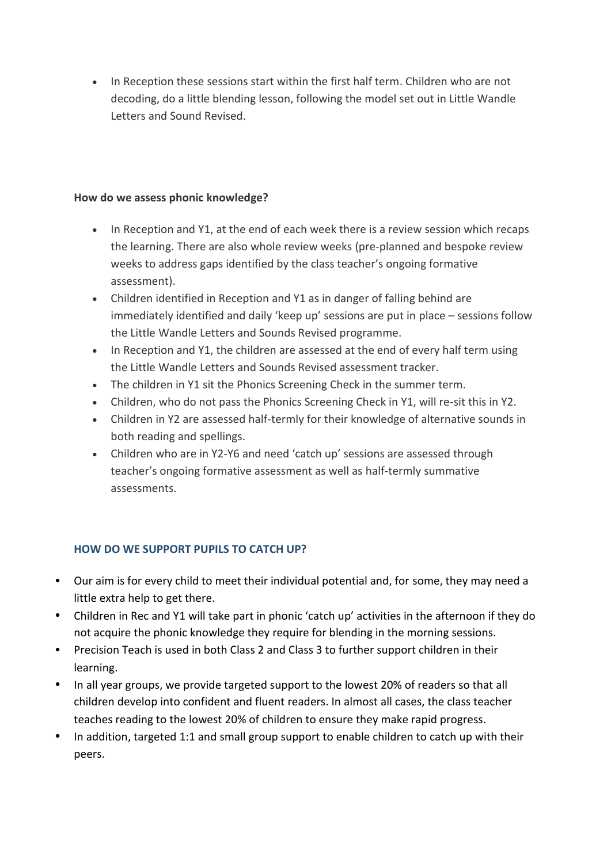• In Reception these sessions start within the first half term. Children who are not decoding, do a little blending lesson, following the model set out in Little Wandle Letters and Sound Revised.

#### **How do we assess phonic knowledge?**

- In Reception and Y1, at the end of each week there is a review session which recaps the learning. There are also whole review weeks (pre-planned and bespoke review weeks to address gaps identified by the class teacher's ongoing formative assessment).
- Children identified in Reception and Y1 as in danger of falling behind are immediately identified and daily 'keep up' sessions are put in place – sessions follow the Little Wandle Letters and Sounds Revised programme.
- In Reception and Y1, the children are assessed at the end of every half term using the Little Wandle Letters and Sounds Revised assessment tracker.
- The children in Y1 sit the Phonics Screening Check in the summer term.
- Children, who do not pass the Phonics Screening Check in Y1, will re-sit this in Y2.
- Children in Y2 are assessed half-termly for their knowledge of alternative sounds in both reading and spellings.
- Children who are in Y2-Y6 and need 'catch up' sessions are assessed through teacher's ongoing formative assessment as well as half-termly summative assessments.

# **HOW DO WE SUPPORT PUPILS TO CATCH UP?**

- Our aim is for every child to meet their individual potential and, for some, they may need a little extra help to get there.
- Children in Rec and Y1 will take part in phonic 'catch up' activities in the afternoon if they do not acquire the phonic knowledge they require for blending in the morning sessions.
- Precision Teach is used in both Class 2 and Class 3 to further support children in their learning.
- In all year groups, we provide targeted support to the lowest 20% of readers so that all children develop into confident and fluent readers. In almost all cases, the class teacher teaches reading to the lowest 20% of children to ensure they make rapid progress.
- In addition, targeted 1:1 and small group support to enable children to catch up with their peers.